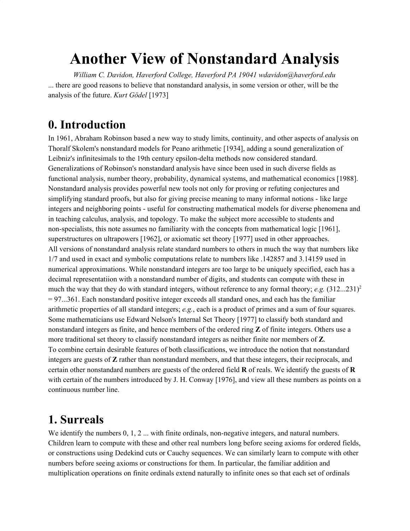# **Another View of Nonstandard Analysis**

*William C. Davidon, Haverford College, Haverford PA 19041 wdavidon@haverford.edu* ... there are good reasons to believe that nonstandard analysis, in some version or other, will be the analysis of the future. *Kurt Gödel* [1973]

### **0. Introduction**

In 1961, Abraham Robinson based a new way to study limits, continuity, and other aspects of analysis on Thoralf Skolem's nonstandard models for Peano arithmetic [1934], adding a sound generalization of Leibniz's infinitesimals to the 19th century epsilon-delta methods now considered standard. Generalizations of Robinson's nonstandard analysis have since been used in such diverse fields as functional analysis, number theory, probability, dynamical systems, and mathematical economics [1988]. Nonstandard analysis provides powerful new tools not only for proving or refuting conjectures and simplifying standard proofs, but also for giving precise meaning to many informal notions - like large integers and neighboring points - useful for constructing mathematical models for diverse phenomena and in teaching calculus, analysis, and topology. To make the subject more accessible to students and non-specialists, this note assumes no familiarity with the concepts from mathematical logic [1961], superstructures on ultrapowers [1962], or axiomatic set theory [1977] used in other approaches. All versions of nonstandard analysis relate standard numbers to others in much the way that numbers like 1/7 and used in exact and symbolic computations relate to numbers like .142857 and 3.14159 used in numerical approximations. While nonstandard integers are too large to be uniquely specified, each has a decimal representatiion with a nonstandard number of digits, and students can compute with these in much the way that they do with standard integers, without reference to any formal theory; *e.g.* (312...231)<sup>2</sup>  $= 97 \dots 361$ . Each nonstandard positive integer exceeds all standard ones, and each has the familiar arithmetic properties of all standard integers; *e.g.*, each is a product of primes and a sum of four squares. Some mathematicians use Edward Nelson's Internal Set Theory [1977] to classify both standard and nonstandard integers as finite, and hence members of the ordered ring **Z** of finite integers. Others use a more traditional set theory to classify nonstandard integers as neither finite nor members of **Z**. To combine certain desirable features of both classifications, we introduce the notion that nonstandard integers are guests of **Z** rather than nonstandard members, and that these integers, their reciprocals, and certain other nonstandard numbers are guests of the ordered field **R** of reals. We identify the guests of **R** with certain of the numbers introduced by J. H. Conway [1976], and view all these numbers as points on a continuous number line.

### **1. Surreals**

We identify the numbers  $0, 1, 2, \ldots$  with finite ordinals, non-negative integers, and natural numbers. Children learn to compute with these and other real numbers long before seeing axioms for ordered fields, or constructions using Dedekind cuts or Cauchy sequences. We can similarly learn to compute with other numbers before seeing axioms or constructions for them. In particular, the familiar addition and multiplication operations on finite ordinals extend naturally to infinite ones so that each set of ordinals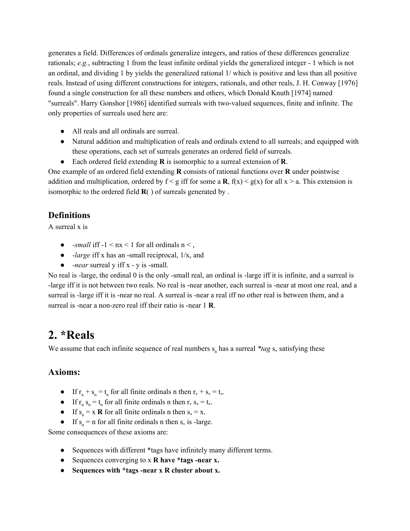generates a field. Differences of ordinals generalize integers, and ratios of these differences generalize rationals; *e.g.*, subtracting 1 from the least infinite ordinal yields the generalized integer - 1 which is not an ordinal, and dividing 1 by yields the generalized rational 1/ which is positive and less than all positive reals. Instead of using different constructions for integers, rationals, and other reals, J. H. Conway [1976] found a single construction for all these numbers and others, which Donald Knuth [1974] named "surreals". Harry Gonshor [1986] identified surreals with two-valued sequences, finite and infinite. The only properties of surreals used here are:

- All reals and all ordinals are surreal.
- Natural addition and multiplication of reals and ordinals extend to all surreals; and equipped with these operations, each set of surreals generates an ordered field of surreals.
- Each ordered field extending **R** is isomorphic to a surreal extension of **R**.

One example of an ordered field extending **R** consists of rational functions over **R** under pointwise addition and multiplication, ordered by  $f < g$  iff for some a **R**,  $f(x) < g(x)$  for all  $x > a$ . This extension is isomorphic to the ordered field **R**( ) of surreals generated by .

### **Definitions**

A surreal x is

- *-small* iff  $-1 < nx < 1$  for all ordinals  $n <$ ,
- *-large* iff x has an -small reciprocal, 1/x, and
- *-near* surreal y iff x y is -small.

No real is -large, the ordinal 0 is the only -small real, an ordinal is -large iff it is infinite, and a surreal is -large iff it is not between two reals. No real is -near another, each surreal is -near at most one real, and a surreal is -large iff it is -near no real. A surreal is -near a real iff no other real is between them, and a surreal is -near a non-zero real iff their ratio is -near 1 **R**.

## **2. \*Reals**

We assume that each infinite sequence of real numbers  $s_n$  has a surreal  $*tag$   $s_*$  satisfying these

#### **Axioms:**

- If  $r_n + s_n = t_n$  for all finite ordinals n then  $r_* + s_* = t_*$ .
- If  $r_n s_n = t_n$  for all finite ordinals n then  $r_* s_* = t_*$ .
- If  $s_n = x \, \mathbf{R}$  for all finite ordinals n then  $s_* = x$ .
- If  $s_n = n$  for all finite ordinals n then  $s_*$  is -large.

Some consequences of these axioms are:

- Sequences with different \*tags have infinitely many different terms.
- Sequences converging to x **R have \*tags -near x.**
- **Sequences with \*tags -near x R cluster about x.**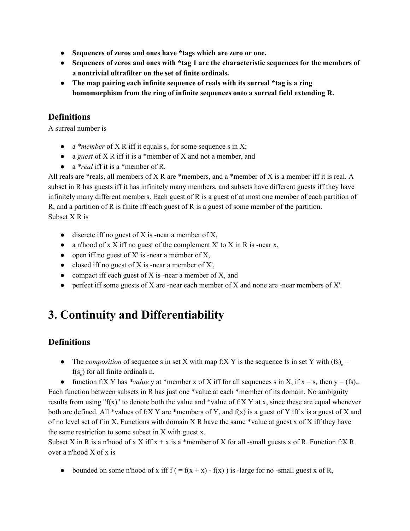- **Sequences of zeros and ones have \*tags which are zero or one.**
- **Sequences of zeros and ones with \*tag 1 are the characteristic sequences for the members of a nontrivial ultrafilter on the set of finite ordinals.**
- **The map pairing each infinite sequence of reals with its surreal \*tag is a ring homomorphism from the ring of infinite sequences onto a surreal field extending R.**

### **Definitions**

A surreal number is

- a *\*member* of X R iff it equals  $s_*$  for some sequence s in X;
- a *guest* of X R iff it is a \*member of X and not a member, and
- a *\*real* iff it is a \*member of R.

All reals are \*reals, all members of X R are \*members, and a \*member of X is a member iff it is real. A subset in R has guests iff it has infinitely many members, and subsets have different guests iff they have infinitely many different members. Each guest of R is a guest of at most one member of each partition of R, and a partition of R is finite iff each guest of R is a guest of some member of the partition. Subset X R is

- $\bullet$  discrete iff no guest of X is -near a member of X,
- a n'hood of x X iff no guest of the complement X' to X in R is -near x,
- $\bullet$  open iff no guest of X' is -near a member of X,
- $\bullet$  closed iff no guest of X is -near a member of X',
- compact iff each guest of  $X$  is -near a member of  $X$ , and
- perfect iff some guests of X are -near each member of X and none are -near members of X'.

## **3. Continuity and Differentiability**

### **Definitions**

• The *composition* of sequence s in set X with map f:X Y is the sequence fs in set Y with  $(\text{fs})_{n} =$  $f(s_n)$  for all finite ordinals n.

• function f:X Y has *\*value* y at \*member x of X iff for all sequences s in X, if  $x = s_*$  then  $y = (fs)_*$ . Each function between subsets in R has just one \*value at each \*member of its domain. No ambiguity results from using " $f(x)$ " to denote both the value and \*value of f:X Y at x, since these are equal whenever both are defined. All \*values of f:X Y are \*members of Y, and  $f(x)$  is a guest of Y iff x is a guest of X and of no level set of f in X. Functions with domain  $X R$  have the same \*value at guest x of  $X$  iff they have the same restriction to some subset in X with guest x.

Subset X in R is a n'hood of x X iff  $x + x$  is a \*member of X for all -small guests x of R. Function f:X R over a n'hood X of x is

• bounded on some n'hood of x iff  $f = f(x + x) - f(x)$  is -large for no -small guest x of R,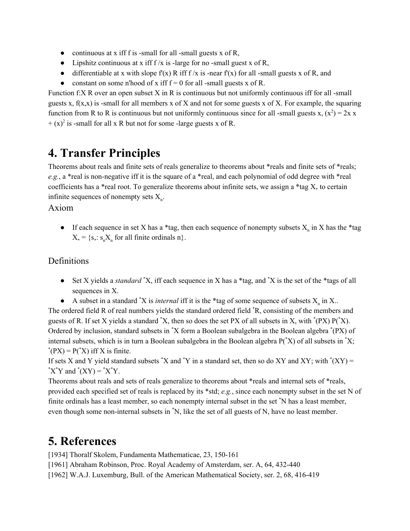- continuous at x iff f is -small for all -small guests x of R,
- Lipshitz continuous at x iff  $f/x$  is -large for no -small guest x of R,
- differentiable at x with slope  $f'(x)$  R iff  $f/x$  is -near  $f'(x)$  for all -small guests x of R, and
- constant on some n'hood of x iff  $f = 0$  for all -small guests x of R.

Function f:X R over an open subset X in R is continuous but not uniformly continuous iff for all -small guests x,  $f(x,x)$  is -small for all members x of X and not for some guests x of X. For example, the squaring function from R to R is continuous but not uniformly continuous since for all -small guests x,  $(x^2) = 2x$  x  $+(x)^2$  is -small for all x R but not for some -large guests x of R.

## **4. Transfer Principles**

Theorems about reals and finite sets of reals generalize to theorems about \*reals and finite sets of \*reals; *e.g.*, a \*real is non-negative iff it is the square of a \*real, and each polynomial of odd degree with \*real coefficients has a \*real root. To generalize theorems about infinite sets, we assign a \*tag  $X_*$  to certain infinite sequences of nonempty sets  $X_n$ .

#### Axiom

• If each sequence in set X has a \*tag, then each sequence of nonempty subsets  $X_n$  in X has the \*tag  $X_* = \{s_*: s_n X_n \text{ for all finite ordinals } n\}.$ 

#### Definitions

- Set X yields a *standard* <sup>\*</sup>X, iff each sequence in X has a \*tag, and <sup>\*</sup>X is the set of the \*tags of all sequences in X.
- A subset in a standard  $^*X$  is *internal* iff it is the \*tag of some sequence of subsets  $X_n$  in X..

The ordered field R of real numbers yields the standard ordered field  ${}^*R$ , consisting of the members and guests of R. If set X yields a standard  $X$ , then so does the set PX of all subsets in X, with  $P(X)$  P( $X$ ). Ordered by inclusion, standard subsets in <sup>\*</sup>X form a Boolean subalgebra in the Boolean algebra <sup>\*</sup>(PX) of internal subsets, which is in turn a Boolean subalgebra in the Boolean algebra  $P(^*X)$  of all subsets in  $^*X$ ;  $*(PX) = P(*X)$  iff X is finite.

If sets X and Y yield standard subsets  $X$  and  $Y$  in a standard set, then so do XY and XY; with  $(XY) =$ \*X\*Y and  $*(XY) = *X*Y$ .

Theorems about reals and sets of reals generalize to theorems about \*reals and internal sets of \*reals, provided each specified set of reals is replaced by its \*std; *e.g.*, since each nonempty subset in the set N of finite ordinals has a least member, so each nonempty internal subset in the set \*N has a least member, even though some non-internal subsets in \*N, like the set of all guests of N, have no least member.

### **5. References**

[1934] Thoralf Skolem, Fundamenta Mathematicae, 23, 150-161

[1961] Abraham Robinson, Proc. Royal Academy of Amsterdam, ser. A, 64, 432-440

[1962] W.A.J. Luxemburg, Bull. of the American Mathematical Society, ser. 2, 68, 416-419